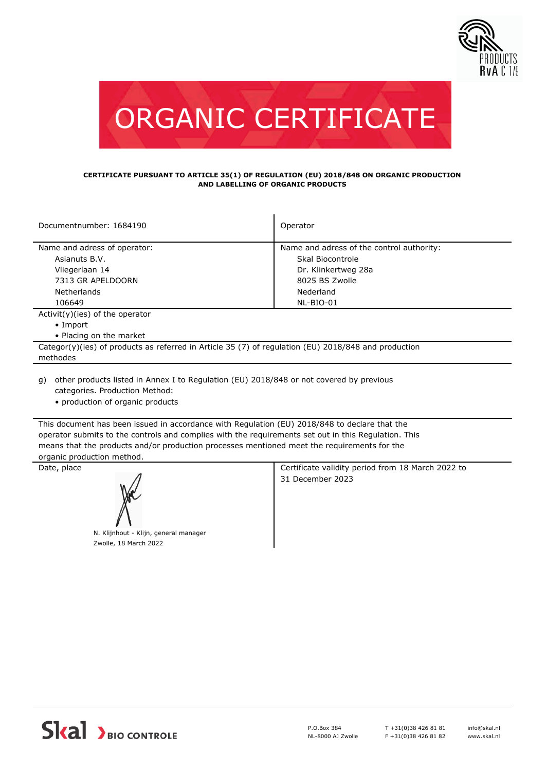



#### **CERTIFICATE PURSUANT TO ARTICLE 35(1) OF REGULATION (EU) 2018/848 ON ORGANIC PRODUCTION AND LABELLING OF ORGANIC PRODUCTS**

| Documentnumber: 1684190                                                                              | Operator                                  |  |  |
|------------------------------------------------------------------------------------------------------|-------------------------------------------|--|--|
|                                                                                                      |                                           |  |  |
| Name and adress of operator:                                                                         | Name and adress of the control authority: |  |  |
| Asianuts B.V.                                                                                        | Skal Biocontrole                          |  |  |
| Vliegerlaan 14                                                                                       | Dr. Klinkertweg 28a                       |  |  |
| 7313 GR APELDOORN                                                                                    | 8025 BS Zwolle                            |  |  |
| Netherlands                                                                                          | Nederland                                 |  |  |
| 106649                                                                                               | NL-BIO-01                                 |  |  |
| $Activity)(ies)$ of the operator                                                                     |                                           |  |  |
| $\bullet$ Import                                                                                     |                                           |  |  |
| • Placing on the market                                                                              |                                           |  |  |
| Categor(y)(ies) of products as referred in Article 35 (7) of regulation (EU) 2018/848 and production |                                           |  |  |
| methodes                                                                                             |                                           |  |  |
|                                                                                                      |                                           |  |  |

other products listed in Annex I to Regulation (EU) 2018/848 or not covered by previous g) categories. Production Method:

• production of organic products

This document has been issued in accordance with Regulation (EU) 2018/848 to declare that the operator submits to the controls and complies with the requirements set out in this Regulation. This means that the products and/or production processes mentioned meet the requirements for the organic production method.



N. Klijnhout - Klijn, general manager Zwolle, 18 March 2022

Date, place **Certificate validity period from 18 March 2022 to** Certificate validity period from 18 March 2022 to 31 December 2023